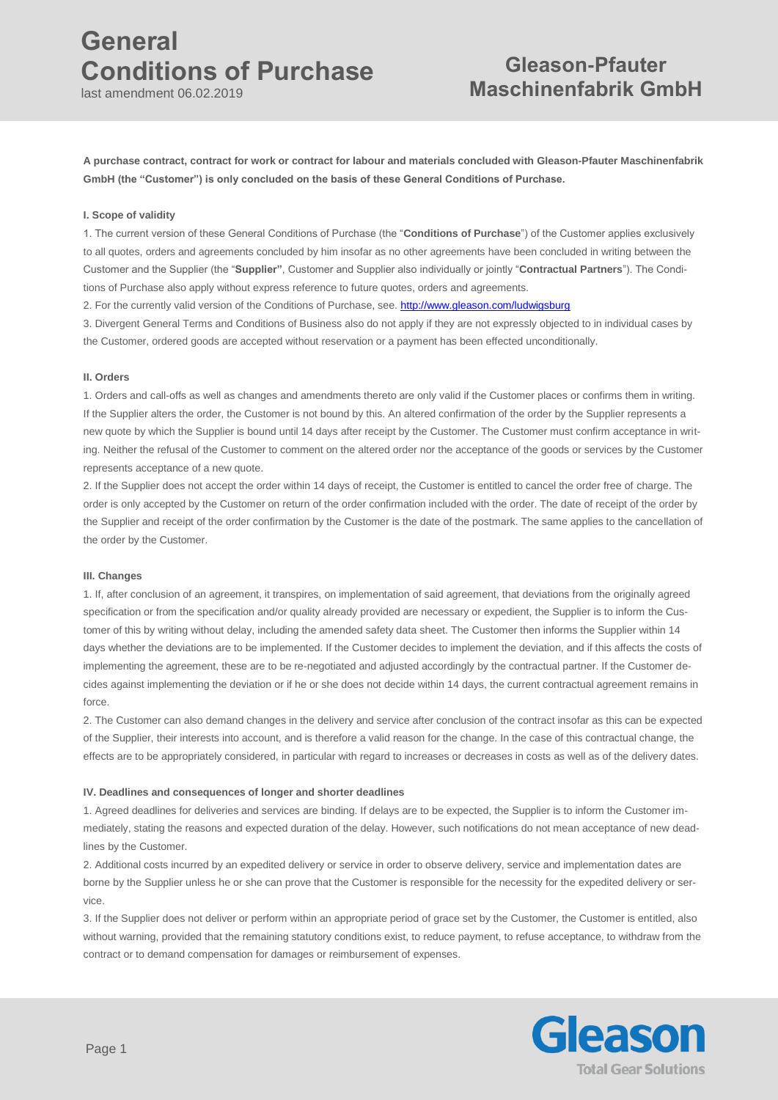last amendment 06.02.2019

# **Gleason-Pfauter Maschinenfabrik GmbH**

**A purchase contract, contract for work or contract for labour and materials concluded with Gleason-Pfauter Maschinenfabrik GmbH (the "Customer") is only concluded on the basis of these General Conditions of Purchase.** 

#### **I. Scope of validity**

1. The current version of these General Conditions of Purchase (the "**Conditions of Purchase**") of the Customer applies exclusively to all quotes, orders and agreements concluded by him insofar as no other agreements have been concluded in writing between the Customer and the Supplier (the "**Supplier"**, Customer and Supplier also individually or jointly "**Contractual Partners**"). The Conditions of Purchase also apply without express reference to future quotes, orders and agreements.

2. For the currently valid version of the Conditions of Purchase, see. <http://www.gleason.com/ludwigsburg>

3. Divergent General Terms and Conditions of Business also do not apply if they are not expressly objected to in individual cases by the Customer, ordered goods are accepted without reservation or a payment has been effected unconditionally.

#### **II. Orders**

1. Orders and call-offs as well as changes and amendments thereto are only valid if the Customer places or confirms them in writing. If the Supplier alters the order, the Customer is not bound by this. An altered confirmation of the order by the Supplier represents a new quote by which the Supplier is bound until 14 days after receipt by the Customer. The Customer must confirm acceptance in writing. Neither the refusal of the Customer to comment on the altered order nor the acceptance of the goods or services by the Customer represents acceptance of a new quote.

2. If the Supplier does not accept the order within 14 days of receipt, the Customer is entitled to cancel the order free of charge. The order is only accepted by the Customer on return of the order confirmation included with the order. The date of receipt of the order by the Supplier and receipt of the order confirmation by the Customer is the date of the postmark. The same applies to the cancellation of the order by the Customer.

### **III. Changes**

1. If, after conclusion of an agreement, it transpires, on implementation of said agreement, that deviations from the originally agreed specification or from the specification and/or quality already provided are necessary or expedient, the Supplier is to inform the Customer of this by writing without delay, including the amended safety data sheet. The Customer then informs the Supplier within 14 days whether the deviations are to be implemented. If the Customer decides to implement the deviation, and if this affects the costs of implementing the agreement, these are to be re-negotiated and adjusted accordingly by the contractual partner. If the Customer decides against implementing the deviation or if he or she does not decide within 14 days, the current contractual agreement remains in force.

2. The Customer can also demand changes in the delivery and service after conclusion of the contract insofar as this can be expected of the Supplier, their interests into account, and is therefore a valid reason for the change. In the case of this contractual change, the effects are to be appropriately considered, in particular with regard to increases or decreases in costs as well as of the delivery dates.

### **IV. Deadlines and consequences of longer and shorter deadlines**

1. Agreed deadlines for deliveries and services are binding. If delays are to be expected, the Supplier is to inform the Customer immediately, stating the reasons and expected duration of the delay. However, such notifications do not mean acceptance of new deadlines by the Customer.

2. Additional costs incurred by an expedited delivery or service in order to observe delivery, service and implementation dates are borne by the Supplier unless he or she can prove that the Customer is responsible for the necessity for the expedited delivery or service.

3. If the Supplier does not deliver or perform within an appropriate period of grace set by the Customer, the Customer is entitled, also without warning, provided that the remaining statutory conditions exist, to reduce payment, to refuse acceptance, to withdraw from the contract or to demand compensation for damages or reimbursement of expenses.

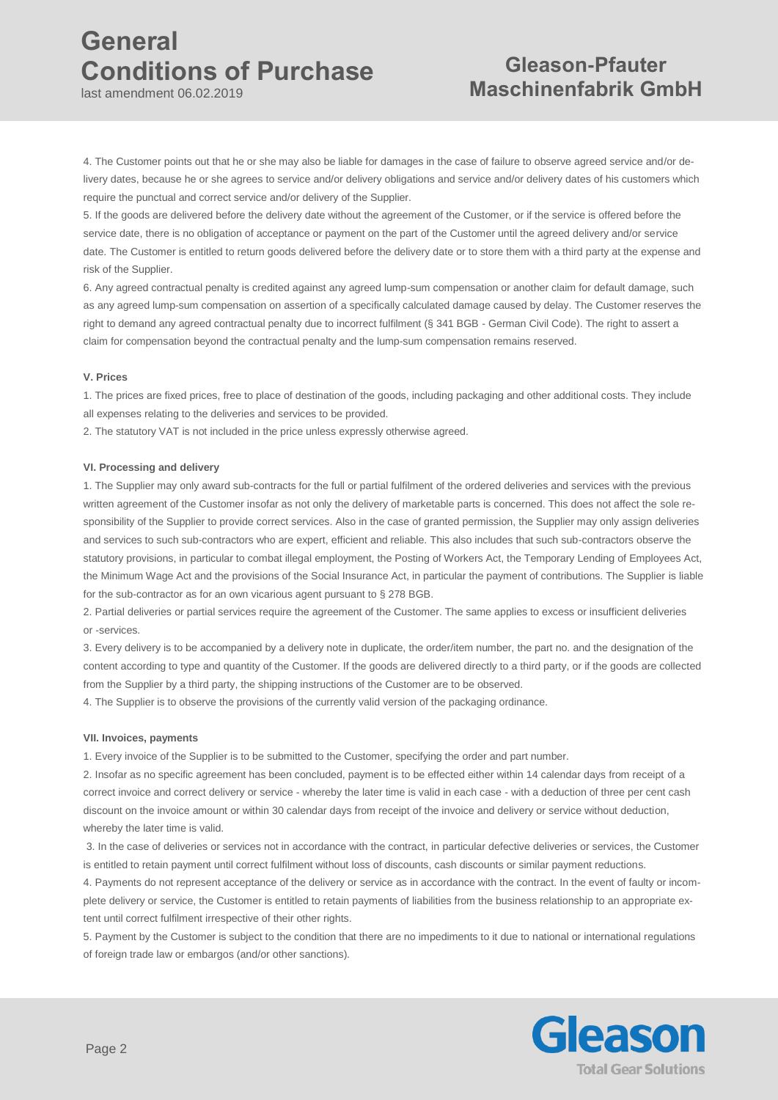last amendment 06.02.2019

# **Gleason-Pfauter Maschinenfabrik GmbH**

4. The Customer points out that he or she may also be liable for damages in the case of failure to observe agreed service and/or delivery dates, because he or she agrees to service and/or delivery obligations and service and/or delivery dates of his customers which require the punctual and correct service and/or delivery of the Supplier.

5. If the goods are delivered before the delivery date without the agreement of the Customer, or if the service is offered before the service date, there is no obligation of acceptance or payment on the part of the Customer until the agreed delivery and/or service date. The Customer is entitled to return goods delivered before the delivery date or to store them with a third party at the expense and risk of the Supplier.

6. Any agreed contractual penalty is credited against any agreed lump-sum compensation or another claim for default damage, such as any agreed lump-sum compensation on assertion of a specifically calculated damage caused by delay. The Customer reserves the right to demand any agreed contractual penalty due to incorrect fulfilment (§ 341 BGB - German Civil Code). The right to assert a claim for compensation beyond the contractual penalty and the lump-sum compensation remains reserved.

## **V. Prices**

1. The prices are fixed prices, free to place of destination of the goods, including packaging and other additional costs. They include all expenses relating to the deliveries and services to be provided.

2. The statutory VAT is not included in the price unless expressly otherwise agreed.

## **VI. Processing and delivery**

1. The Supplier may only award sub-contracts for the full or partial fulfilment of the ordered deliveries and services with the previous written agreement of the Customer insofar as not only the delivery of marketable parts is concerned. This does not affect the sole responsibility of the Supplier to provide correct services. Also in the case of granted permission, the Supplier may only assign deliveries and services to such sub-contractors who are expert, efficient and reliable. This also includes that such sub-contractors observe the statutory provisions, in particular to combat illegal employment, the Posting of Workers Act, the Temporary Lending of Employees Act, the Minimum Wage Act and the provisions of the Social Insurance Act, in particular the payment of contributions. The Supplier is liable for the sub-contractor as for an own vicarious agent pursuant to § 278 BGB.

2. Partial deliveries or partial services require the agreement of the Customer. The same applies to excess or insufficient deliveries or -services.

3. Every delivery is to be accompanied by a delivery note in duplicate, the order/item number, the part no. and the designation of the content according to type and quantity of the Customer. If the goods are delivered directly to a third party, or if the goods are collected from the Supplier by a third party, the shipping instructions of the Customer are to be observed.

4. The Supplier is to observe the provisions of the currently valid version of the packaging ordinance.

### **VII. Invoices, payments**

1. Every invoice of the Supplier is to be submitted to the Customer, specifying the order and part number.

2. Insofar as no specific agreement has been concluded, payment is to be effected either within 14 calendar days from receipt of a correct invoice and correct delivery or service - whereby the later time is valid in each case - with a deduction of three per cent cash discount on the invoice amount or within 30 calendar days from receipt of the invoice and delivery or service without deduction, whereby the later time is valid.

3. In the case of deliveries or services not in accordance with the contract, in particular defective deliveries or services, the Customer is entitled to retain payment until correct fulfilment without loss of discounts, cash discounts or similar payment reductions.

4. Payments do not represent acceptance of the delivery or service as in accordance with the contract. In the event of faulty or incomplete delivery or service, the Customer is entitled to retain payments of liabilities from the business relationship to an appropriate extent until correct fulfilment irrespective of their other rights.

5. Payment by the Customer is subject to the condition that there are no impediments to it due to national or international regulations of foreign trade law or embargos (and/or other sanctions).

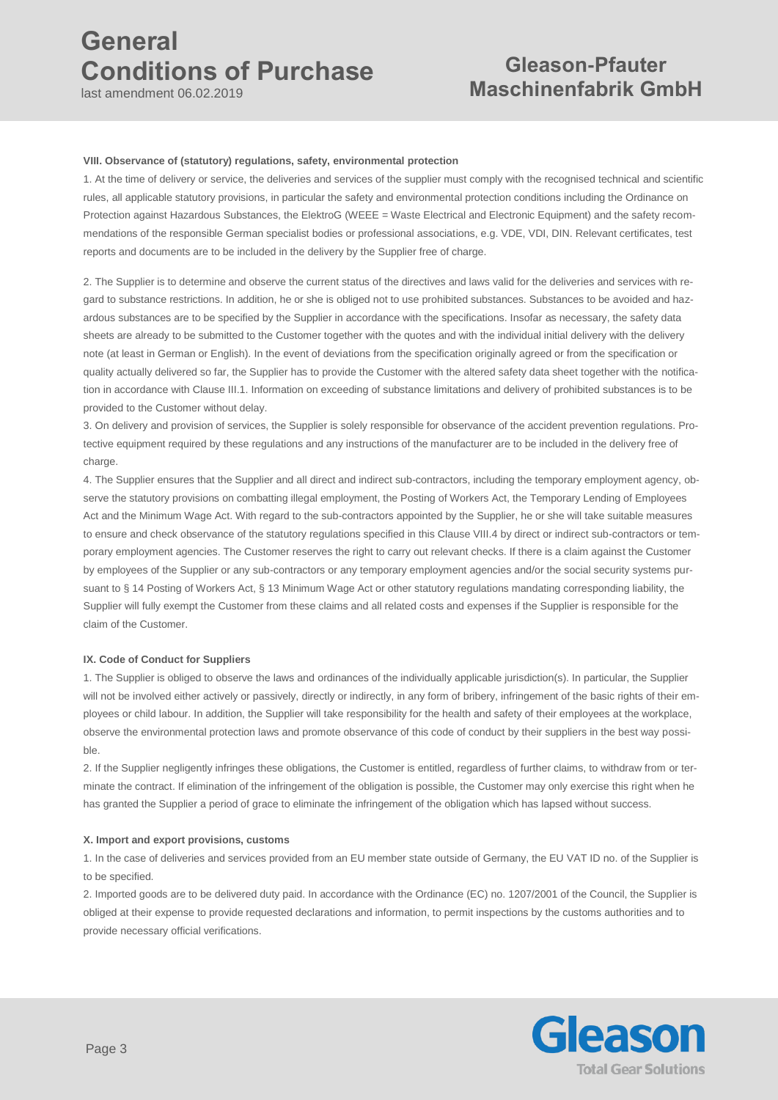last amendment 06.02.2019

# **Gleason-Pfauter Maschinenfabrik GmbH**

### **VIII. Observance of (statutory) regulations, safety, environmental protection**

1. At the time of delivery or service, the deliveries and services of the supplier must comply with the recognised technical and scientific rules, all applicable statutory provisions, in particular the safety and environmental protection conditions including the Ordinance on Protection against Hazardous Substances, the ElektroG (WEEE = Waste Electrical and Electronic Equipment) and the safety recommendations of the responsible German specialist bodies or professional associations, e.g. VDE, VDI, DIN. Relevant certificates, test reports and documents are to be included in the delivery by the Supplier free of charge.

2. The Supplier is to determine and observe the current status of the directives and laws valid for the deliveries and services with regard to substance restrictions. In addition, he or she is obliged not to use prohibited substances. Substances to be avoided and hazardous substances are to be specified by the Supplier in accordance with the specifications. Insofar as necessary, the safety data sheets are already to be submitted to the Customer together with the quotes and with the individual initial delivery with the delivery note (at least in German or English). In the event of deviations from the specification originally agreed or from the specification or quality actually delivered so far, the Supplier has to provide the Customer with the altered safety data sheet together with the notification in accordance with Clause III.1. Information on exceeding of substance limitations and delivery of prohibited substances is to be provided to the Customer without delay.

3. On delivery and provision of services, the Supplier is solely responsible for observance of the accident prevention regulations. Protective equipment required by these regulations and any instructions of the manufacturer are to be included in the delivery free of charge

4. The Supplier ensures that the Supplier and all direct and indirect sub-contractors, including the temporary employment agency, observe the statutory provisions on combatting illegal employment, the Posting of Workers Act, the Temporary Lending of Employees Act and the Minimum Wage Act. With regard to the sub-contractors appointed by the Supplier, he or she will take suitable measures to ensure and check observance of the statutory regulations specified in this Clause VIII.4 by direct or indirect sub-contractors or temporary employment agencies. The Customer reserves the right to carry out relevant checks. If there is a claim against the Customer by employees of the Supplier or any sub-contractors or any temporary employment agencies and/or the social security systems pursuant to § 14 Posting of Workers Act, § 13 Minimum Wage Act or other statutory regulations mandating corresponding liability, the Supplier will fully exempt the Customer from these claims and all related costs and expenses if the Supplier is responsible for the claim of the Customer.

### **IX. Code of Conduct for Suppliers**

1. The Supplier is obliged to observe the laws and ordinances of the individually applicable jurisdiction(s). In particular, the Supplier will not be involved either actively or passively, directly or indirectly, in any form of bribery, infringement of the basic rights of their employees or child labour. In addition, the Supplier will take responsibility for the health and safety of their employees at the workplace, observe the environmental protection laws and promote observance of this code of conduct by their suppliers in the best way possible.

2. If the Supplier negligently infringes these obligations, the Customer is entitled, regardless of further claims, to withdraw from or terminate the contract. If elimination of the infringement of the obligation is possible, the Customer may only exercise this right when he has granted the Supplier a period of grace to eliminate the infringement of the obligation which has lapsed without success.

### **X. Import and export provisions, customs**

1. In the case of deliveries and services provided from an EU member state outside of Germany, the EU VAT ID no. of the Supplier is to be specified.

2. Imported goods are to be delivered duty paid. In accordance with the Ordinance (EC) no. 1207/2001 of the Council, the Supplier is obliged at their expense to provide requested declarations and information, to permit inspections by the customs authorities and to provide necessary official verifications.

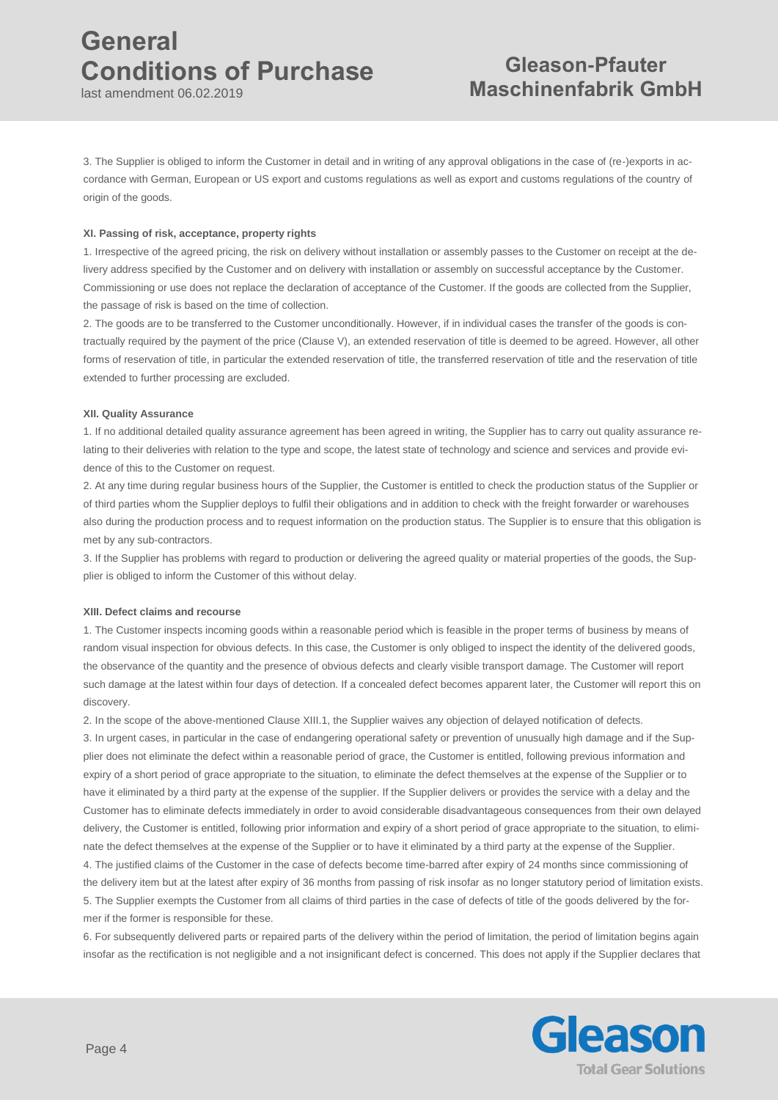last amendment 06.02.2019

# **Gleason-Pfauter Maschinenfabrik GmbH**

3. The Supplier is obliged to inform the Customer in detail and in writing of any approval obligations in the case of (re-)exports in accordance with German, European or US export and customs regulations as well as export and customs regulations of the country of origin of the goods.

## **XI. Passing of risk, acceptance, property rights**

1. Irrespective of the agreed pricing, the risk on delivery without installation or assembly passes to the Customer on receipt at the delivery address specified by the Customer and on delivery with installation or assembly on successful acceptance by the Customer. Commissioning or use does not replace the declaration of acceptance of the Customer. If the goods are collected from the Supplier, the passage of risk is based on the time of collection.

2. The goods are to be transferred to the Customer unconditionally. However, if in individual cases the transfer of the goods is contractually required by the payment of the price (Clause V), an extended reservation of title is deemed to be agreed. However, all other forms of reservation of title, in particular the extended reservation of title, the transferred reservation of title and the reservation of title extended to further processing are excluded.

## **XII. Quality Assurance**

1. If no additional detailed quality assurance agreement has been agreed in writing, the Supplier has to carry out quality assurance relating to their deliveries with relation to the type and scope, the latest state of technology and science and services and provide evidence of this to the Customer on request.

2. At any time during regular business hours of the Supplier, the Customer is entitled to check the production status of the Supplier or of third parties whom the Supplier deploys to fulfil their obligations and in addition to check with the freight forwarder or warehouses also during the production process and to request information on the production status. The Supplier is to ensure that this obligation is met by any sub-contractors.

3. If the Supplier has problems with regard to production or delivering the agreed quality or material properties of the goods, the Supplier is obliged to inform the Customer of this without delay.

## **XIII. Defect claims and recourse**

1. The Customer inspects incoming goods within a reasonable period which is feasible in the proper terms of business by means of random visual inspection for obvious defects. In this case, the Customer is only obliged to inspect the identity of the delivered goods, the observance of the quantity and the presence of obvious defects and clearly visible transport damage. The Customer will report such damage at the latest within four days of detection. If a concealed defect becomes apparent later, the Customer will report this on discovery.

2. In the scope of the above-mentioned Clause XIII.1, the Supplier waives any objection of delayed notification of defects.

3. In urgent cases, in particular in the case of endangering operational safety or prevention of unusually high damage and if the Supplier does not eliminate the defect within a reasonable period of grace, the Customer is entitled, following previous information and expiry of a short period of grace appropriate to the situation, to eliminate the defect themselves at the expense of the Supplier or to have it eliminated by a third party at the expense of the supplier. If the Supplier delivers or provides the service with a delay and the Customer has to eliminate defects immediately in order to avoid considerable disadvantageous consequences from their own delayed delivery, the Customer is entitled, following prior information and expiry of a short period of grace appropriate to the situation, to eliminate the defect themselves at the expense of the Supplier or to have it eliminated by a third party at the expense of the Supplier. 4. The justified claims of the Customer in the case of defects become time-barred after expiry of 24 months since commissioning of the delivery item but at the latest after expiry of 36 months from passing of risk insofar as no longer statutory period of limitation exists. 5. The Supplier exempts the Customer from all claims of third parties in the case of defects of title of the goods delivered by the former if the former is responsible for these.

6. For subsequently delivered parts or repaired parts of the delivery within the period of limitation, the period of limitation begins again insofar as the rectification is not negligible and a not insignificant defect is concerned. This does not apply if the Supplier declares that

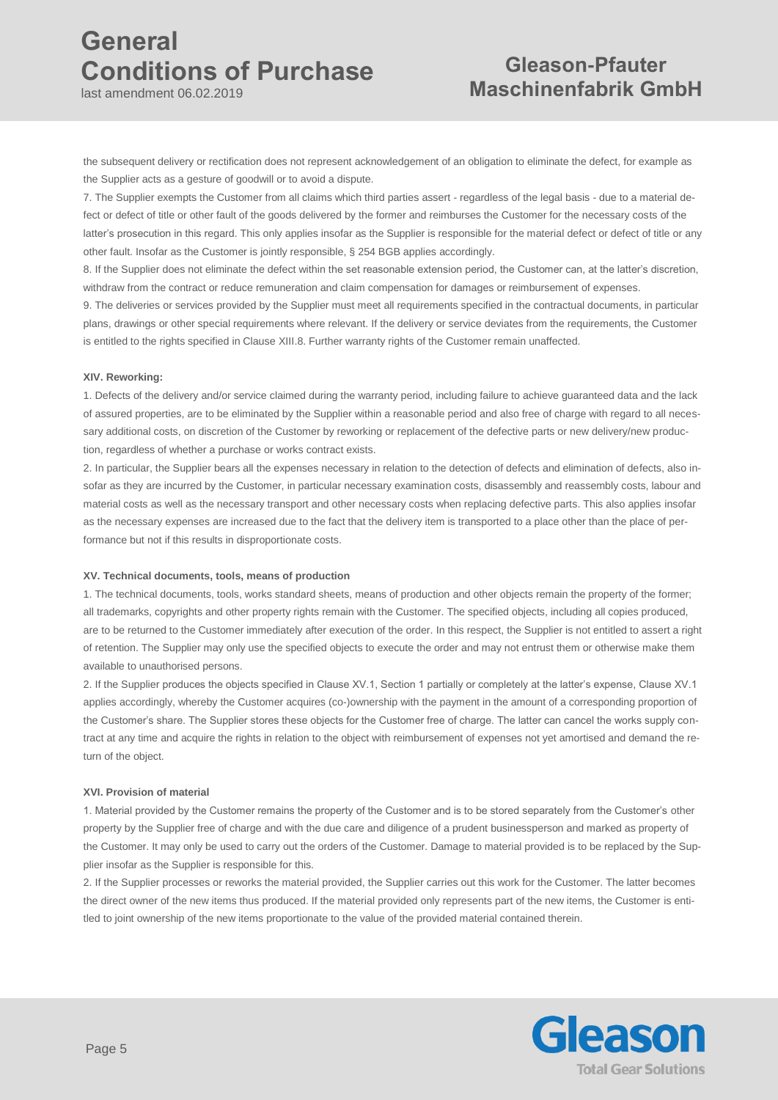last amendment 06.02.2019

# **Gleason-Pfauter Maschinenfabrik GmbH**

the subsequent delivery or rectification does not represent acknowledgement of an obligation to eliminate the defect, for example as the Supplier acts as a gesture of goodwill or to avoid a dispute.

7. The Supplier exempts the Customer from all claims which third parties assert - regardless of the legal basis - due to a material defect or defect of title or other fault of the goods delivered by the former and reimburses the Customer for the necessary costs of the latter's prosecution in this regard. This only applies insofar as the Supplier is responsible for the material defect or defect of title or any other fault. Insofar as the Customer is jointly responsible, § 254 BGB applies accordingly.

8. If the Supplier does not eliminate the defect within the set reasonable extension period, the Customer can, at the latter's discretion, withdraw from the contract or reduce remuneration and claim compensation for damages or reimbursement of expenses.

9. The deliveries or services provided by the Supplier must meet all requirements specified in the contractual documents, in particular plans, drawings or other special requirements where relevant. If the delivery or service deviates from the requirements, the Customer is entitled to the rights specified in Clause XIII.8. Further warranty rights of the Customer remain unaffected.

### **XIV. Reworking:**

1. Defects of the delivery and/or service claimed during the warranty period, including failure to achieve guaranteed data and the lack of assured properties, are to be eliminated by the Supplier within a reasonable period and also free of charge with regard to all necessary additional costs, on discretion of the Customer by reworking or replacement of the defective parts or new delivery/new production, regardless of whether a purchase or works contract exists.

2. In particular, the Supplier bears all the expenses necessary in relation to the detection of defects and elimination of defects, also insofar as they are incurred by the Customer, in particular necessary examination costs, disassembly and reassembly costs, labour and material costs as well as the necessary transport and other necessary costs when replacing defective parts. This also applies insofar as the necessary expenses are increased due to the fact that the delivery item is transported to a place other than the place of performance but not if this results in disproportionate costs.

### **XV. Technical documents, tools, means of production**

1. The technical documents, tools, works standard sheets, means of production and other objects remain the property of the former; all trademarks, copyrights and other property rights remain with the Customer. The specified objects, including all copies produced, are to be returned to the Customer immediately after execution of the order. In this respect, the Supplier is not entitled to assert a right of retention. The Supplier may only use the specified objects to execute the order and may not entrust them or otherwise make them available to unauthorised persons.

2. If the Supplier produces the objects specified in Clause XV.1, Section 1 partially or completely at the latter's expense, Clause XV.1 applies accordingly, whereby the Customer acquires (co-)ownership with the payment in the amount of a corresponding proportion of the Customer's share. The Supplier stores these objects for the Customer free of charge. The latter can cancel the works supply contract at any time and acquire the rights in relation to the object with reimbursement of expenses not yet amortised and demand the return of the object.

### **XVI. Provision of material**

1. Material provided by the Customer remains the property of the Customer and is to be stored separately from the Customer's other property by the Supplier free of charge and with the due care and diligence of a prudent businessperson and marked as property of the Customer. It may only be used to carry out the orders of the Customer. Damage to material provided is to be replaced by the Supplier insofar as the Supplier is responsible for this.

2. If the Supplier processes or reworks the material provided, the Supplier carries out this work for the Customer. The latter becomes the direct owner of the new items thus produced. If the material provided only represents part of the new items, the Customer is entitled to joint ownership of the new items proportionate to the value of the provided material contained therein.

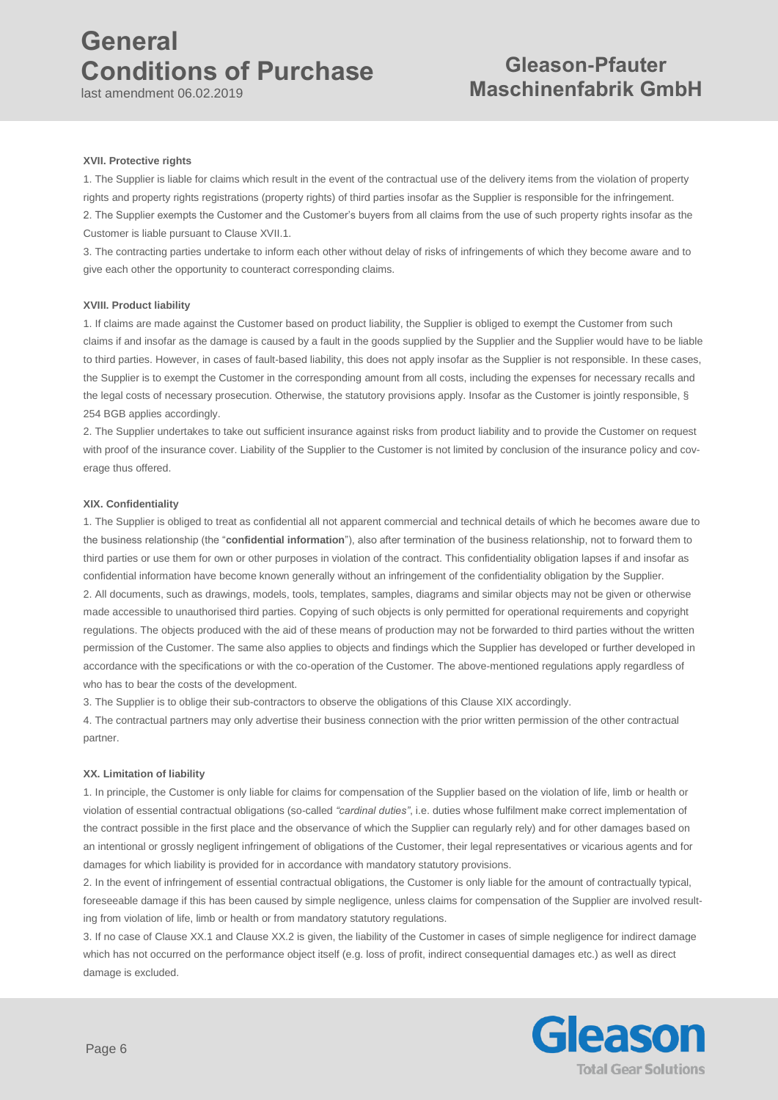last amendment 06.02.2019

# **Gleason-Pfauter Maschinenfabrik GmbH**

## **XVII. Protective rights**

1. The Supplier is liable for claims which result in the event of the contractual use of the delivery items from the violation of property rights and property rights registrations (property rights) of third parties insofar as the Supplier is responsible for the infringement. 2. The Supplier exempts the Customer and the Customer's buyers from all claims from the use of such property rights insofar as the Customer is liable pursuant to Clause XVII.1.

3. The contracting parties undertake to inform each other without delay of risks of infringements of which they become aware and to give each other the opportunity to counteract corresponding claims.

### **XVIII. Product liability**

1. If claims are made against the Customer based on product liability, the Supplier is obliged to exempt the Customer from such claims if and insofar as the damage is caused by a fault in the goods supplied by the Supplier and the Supplier would have to be liable to third parties. However, in cases of fault-based liability, this does not apply insofar as the Supplier is not responsible. In these cases, the Supplier is to exempt the Customer in the corresponding amount from all costs, including the expenses for necessary recalls and the legal costs of necessary prosecution. Otherwise, the statutory provisions apply. Insofar as the Customer is jointly responsible, § 254 BGB applies accordingly.

2. The Supplier undertakes to take out sufficient insurance against risks from product liability and to provide the Customer on request with proof of the insurance cover. Liability of the Supplier to the Customer is not limited by conclusion of the insurance policy and coverage thus offered.

### **XIX. Confidentiality**

1. The Supplier is obliged to treat as confidential all not apparent commercial and technical details of which he becomes aware due to the business relationship (the "**confidential information**"), also after termination of the business relationship, not to forward them to third parties or use them for own or other purposes in violation of the contract. This confidentiality obligation lapses if and insofar as confidential information have become known generally without an infringement of the confidentiality obligation by the Supplier. 2. All documents, such as drawings, models, tools, templates, samples, diagrams and similar objects may not be given or otherwise made accessible to unauthorised third parties. Copying of such objects is only permitted for operational requirements and copyright regulations. The objects produced with the aid of these means of production may not be forwarded to third parties without the written permission of the Customer. The same also applies to objects and findings which the Supplier has developed or further developed in accordance with the specifications or with the co-operation of the Customer. The above-mentioned regulations apply regardless of who has to bear the costs of the development.

3. The Supplier is to oblige their sub-contractors to observe the obligations of this Clause XIX accordingly.

4. The contractual partners may only advertise their business connection with the prior written permission of the other contractual partner.

### **XX. Limitation of liability**

1. In principle, the Customer is only liable for claims for compensation of the Supplier based on the violation of life, limb or health or violation of essential contractual obligations (so-called *"cardinal duties"*, i.e. duties whose fulfilment make correct implementation of the contract possible in the first place and the observance of which the Supplier can regularly rely) and for other damages based on an intentional or grossly negligent infringement of obligations of the Customer, their legal representatives or vicarious agents and for damages for which liability is provided for in accordance with mandatory statutory provisions.

2. In the event of infringement of essential contractual obligations, the Customer is only liable for the amount of contractually typical, foreseeable damage if this has been caused by simple negligence, unless claims for compensation of the Supplier are involved resulting from violation of life, limb or health or from mandatory statutory regulations.

3. If no case of Clause XX.1 and Clause XX.2 is given, the liability of the Customer in cases of simple negligence for indirect damage which has not occurred on the performance object itself (e.g. loss of profit, indirect consequential damages etc.) as well as direct damage is excluded.